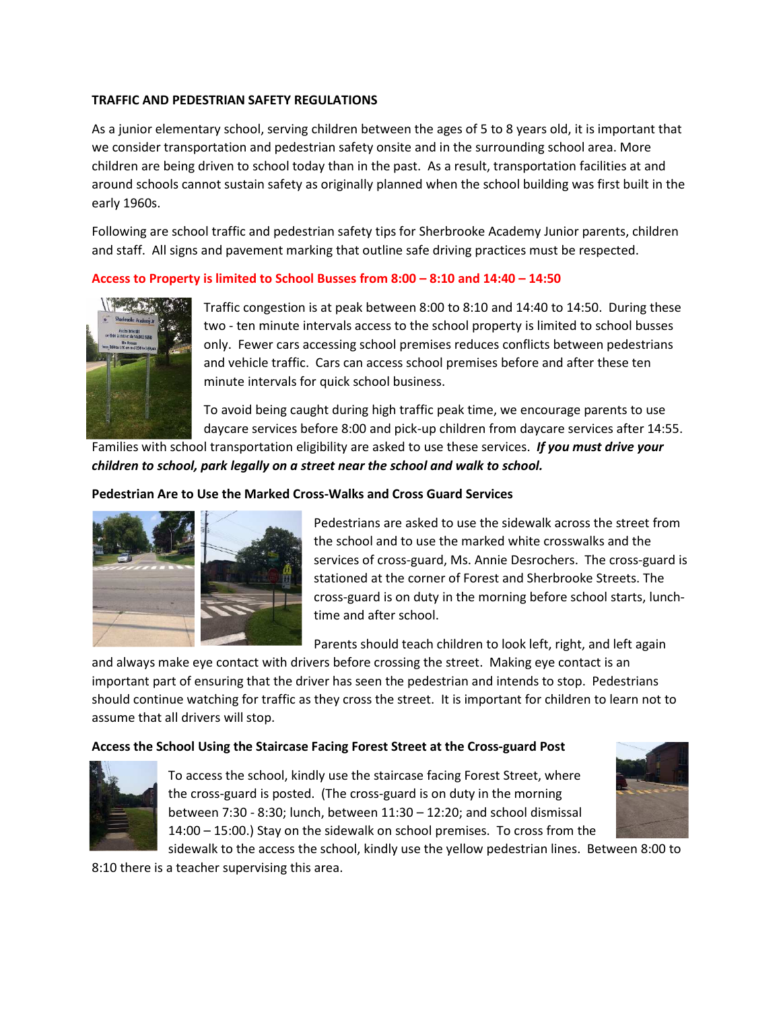# **TRAFFIC AND PEDESTRIAN SAFETY REGULATIONS**

As a junior elementary school, serving children between the ages of 5 to 8 years old, it is important that we consider transportation and pedestrian safety onsite and in the surrounding school area. More children are being driven to school today than in the past. As a result, transportation facilities at and around schools cannot sustain safety as originally planned when the school building was first built in the early 1960s.

Following are school traffic and pedestrian safety tips for Sherbrooke Academy Junior parents, children and staff. All signs and pavement marking that outline safe driving practices must be respected.

## **Access to Property is limited to School Busses from 8:00 – 8:10 and 14:40 – 14:50**



Traffic congestion is at peak between 8:00 to 8:10 and 14:40 to 14:50. During these two - ten minute intervals access to the school property is limited to school busses only. Fewer cars accessing school premises reduces conflicts between pedestrians and vehicle traffic. Cars can access school premises before and after these ten minute intervals for quick school business.

To avoid being caught during high traffic peak time, we encourage parents to use daycare services before 8:00 and pick-up children from daycare services after 14:55.

Families with school transportation eligibility are asked to use these services. *If you must drive your children to school, park legally on a street near the school and walk to school.* 

# **Pedestrian Are to Use the Marked Cross-Walks and Cross Guard Services**



Pedestrians are asked to use the sidewalk across the street from the school and to use the marked white crosswalks and the services of cross-guard, Ms. Annie Desrochers. The cross-guard is stationed at the corner of Forest and Sherbrooke Streets. The cross-guard is on duty in the morning before school starts, lunchtime and after school.

Parents should teach children to look left, right, and left again

and always make eye contact with drivers before crossing the street. Making eye contact is an important part of ensuring that the driver has seen the pedestrian and intends to stop. Pedestrians should continue watching for traffic as they cross the street. It is important for children to learn not to assume that all drivers will stop.

## **Access the School Using the Staircase Facing Forest Street at the Cross-guard Post**



To access the school, kindly use the staircase facing Forest Street, where the cross-guard is posted. (The cross-guard is on duty in the morning between 7:30 - 8:30; lunch, between 11:30 – 12:20; and school dismissal 14:00 – 15:00.) Stay on the sidewalk on school premises. To cross from the



sidewalk to the access the school, kindly use the yellow pedestrian lines. Between 8:00 to

8:10 there is a teacher supervising this area.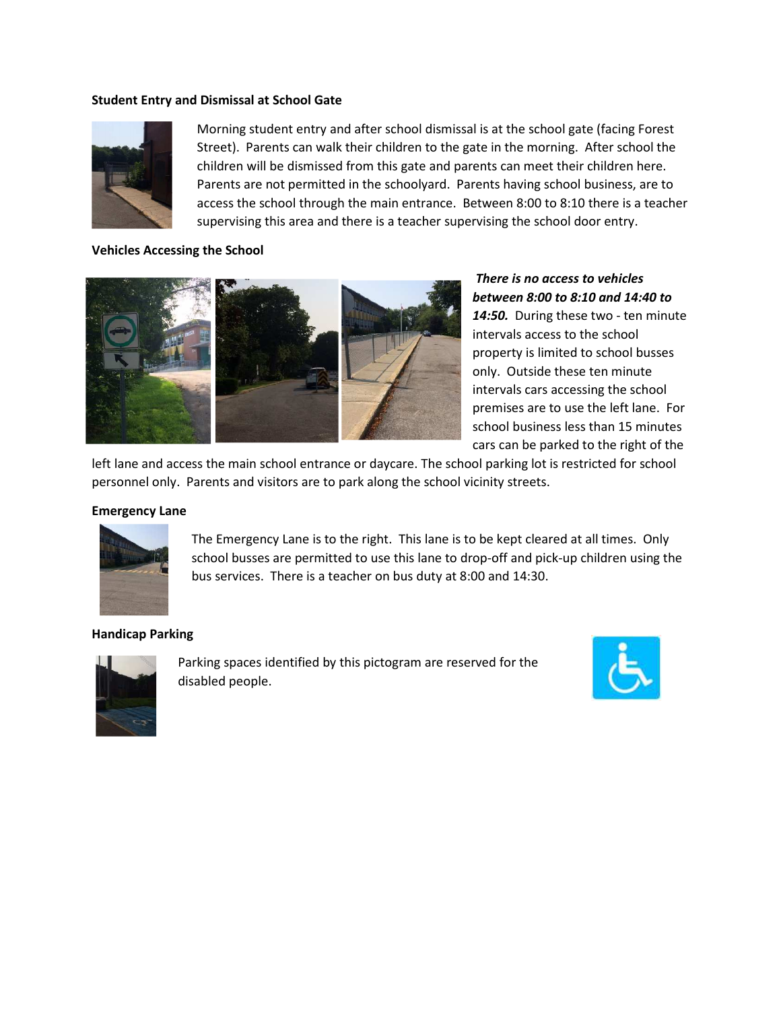#### **Student Entry and Dismissal at School Gate**



Morning student entry and after school dismissal is at the school gate (facing Forest Street). Parents can walk their children to the gate in the morning. After school the children will be dismissed from this gate and parents can meet their children here. Parents are not permitted in the schoolyard. Parents having school business, are to access the school through the main entrance. Between 8:00 to 8:10 there is a teacher supervising this area and there is a teacher supervising the school door entry.

## **Vehicles Accessing the School**



*There is no access to vehicles between 8:00 to 8:10 and 14:40 to*  14:50. During these two - ten minute intervals access to the school property is limited to school busses only. Outside these ten minute intervals cars accessing the school premises are to use the left lane. For school business less than 15 minutes cars can be parked to the right of the

left lane and access the main school entrance or daycare. The school parking lot is restricted for school personnel only. Parents and visitors are to park along the school vicinity streets.

#### **Emergency Lane**



The Emergency Lane is to the right. This lane is to be kept cleared at all times. Only school busses are permitted to use this lane to drop-off and pick-up children using the bus services. There is a teacher on bus duty at 8:00 and 14:30.

#### **Handicap Parking**



Parking spaces identified by this pictogram are reserved for the disabled people.